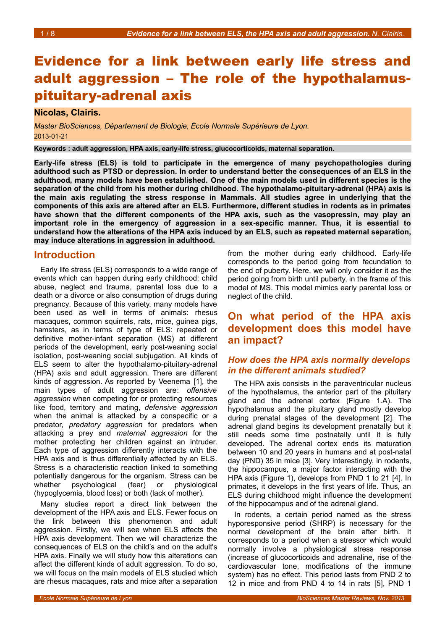# Evidence for a link between early life stress and adult aggression – The role of the hypothalamuspituitary-adrenal axis

## **Nicolas, Clairis.**

*Master BioSciences, Département de Biologie, École Normale Supérieure de Lyon.* 2013-01-21

**Keywords : adult aggression, HPA axis, early-life stress, glucocorticoids, maternal separation.**

**Early-life stress (ELS) is told to participate in the emergence of many psychopathologies during adulthood such as PTSD or depression. In order to understand better the consequences of an ELS in the adulthood, many models have been established. One of the main models used in different species is the separation of the child from his mother during childhood. The hypothalamo-pituitary-adrenal (HPA) axis is the main axis regulating the stress response in Mammals. All studies agree in underlying that the components of this axis are altered after an ELS. Furthermore, different studies in rodents as in primates have shown that the different components of the HPA axis, such as the vasopressin, may play an important role in the emergency of aggression in a sex-specific manner. Thus, it is essential to understand how the alterations of the HPA axis induced by an ELS, such as repeated maternal separation, may induce alterations in aggression in adulthood.**

## **Introduction**

Early life stress (ELS) corresponds to a wide range of events which can happen during early childhood: child abuse, neglect and trauma, parental loss due to a death or a divorce or also consumption of drugs during pregnancy. Because of this variety, many models have been used as well in terms of animals: rhesus macaques, common squirrels, rats, mice, guinea pigs, hamsters, as in terms of type of ELS: repeated or definitive mother-infant separation (MS) at different periods of the development, early post-weaning social isolation, post-weaning social subjugation. All kinds of ELS seem to alter the hypothalamo-pituitary-adrenal (HPA) axis and adult aggression. There are different kinds of aggression. As reported by Veenema [1], the main types of adult aggression are: *offensive aggression* when competing for or protecting resources like food, territory and mating, *defensive aggression* when the animal is attacked by a conspecific or a predator, *predatory aggression* for predators when attacking a prey and *maternal aggression* for the mother protecting her children against an intruder. Each type of aggression differently interacts with the HPA axis and is thus differentially affected by an ELS. Stress is a characteristic reaction linked to something potentially dangerous for the organism. Stress can be whether psychological (fear) or physiological (hypoglycemia, blood loss) or both (lack of mother).

Many studies report a direct link between the development of the HPA axis and ELS. Fewer focus on the link between this phenomenon and adult aggression. Firstly, we will see when ELS affects the HPA axis development. Then we will characterize the consequences of ELS on the child's and on the adult's HPA axis. Finally we will study how this alterations can affect the different kinds of adult aggression. To do so, we will focus on the main models of ELS studied which are rhesus macaques, rats and mice after a separation from the mother during early childhood. Early-life corresponds to the period going from fecundation to the end of puberty. Here, we will only consider it as the period going from birth until puberty, in the frame of this model of MS. This model mimics early parental loss or neglect of the child.

## **On what period of the HPA axis development does this model have an impact?**

## *How does the HPA axis normally develops in the different animals studied?*

The HPA axis consists in the paraventricular nucleus of the hypothalamus, the anterior part of the pituitary gland and the adrenal cortex (Figure [1.](#page-1-0)A). The hypothalamus and the pituitary gland mostly develop during prenatal stages of the development [2]. The adrenal gland begins its development prenatally but it still needs some time postnatally until it is fully developed. The adrenal cortex ends its maturation between 10 and 20 years in humans and at post-natal day (PND) 35 in mice [3]. Very interestingly, in rodents, the hippocampus, a major factor interacting with the HPA axis (Figure [1\)](#page-1-0), develops from PND 1 to 21 [4]. In primates, it develops in the first years of life. Thus, an ELS during childhood might influence the development of the hippocampus and of the adrenal gland.

In rodents, a certain period named as the stress hyporesponsive period (SHRP) is necessary for the normal development of the brain after birth. It corresponds to a period when a stressor which would normally involve a physiological stress response (increase of glucocorticoids and adrenaline, rise of the cardiovascular tone, modifications of the immune system) has no effect. This period lasts from PND 2 to 12 in mice and from PND 4 to 14 in rats [5], PND 1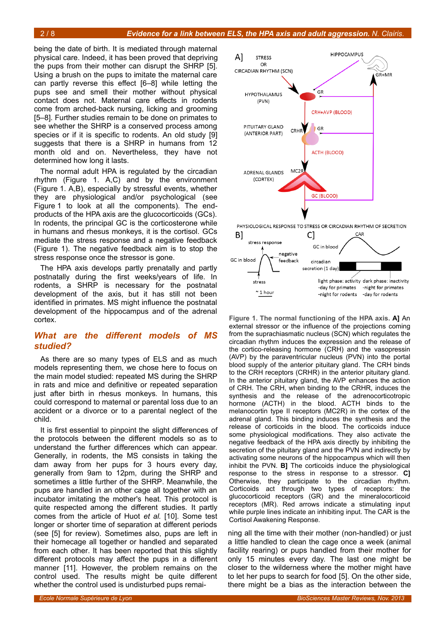being the date of birth. It is mediated through maternal physical care. Indeed, it has been proved that depriving the pups from their mother can disrupt the SHRP [5]. Using a brush on the pups to imitate the maternal care can partly reverse this effect [6–8] while letting the pups see and smell their mother without physical contact does not. Maternal care effects in rodents come from arched-back nursing, licking and grooming [5–8]. Further studies remain to be done on primates to see whether the SHRP is a conserved process among species or if it is specific to rodents. An old study [9] suggests that there is a SHRP in humans from 12 month old and on. Nevertheless, they have not determined how long it lasts.

The normal adult HPA is regulated by the circadian rhythm (Figure [1.](#page-1-0) A,C) and by the environment (Figure [1.](#page-1-0) A,B), especially by stressful events, whether they are physiological and/or psychological (see Figure [1](#page-1-0) to look at all the components). The endproducts of the HPA axis are the glucocorticoids (GCs). In rodents, the principal GC is the corticosterone while in humans and rhesus monkeys, it is the cortisol. GCs mediate the stress response and a negative feedback (Figure [1\)](#page-1-0). The negative feedback aim is to stop the stress response once the stressor is gone.

The HPA axis develops partly prenatally and partly postnatally during the first weeks/years of life. In rodents, a SHRP is necessary for the postnatal development of the axis, but it has still not been identified in primates. MS might influence the postnatal development of the hippocampus and of the adrenal cortex.

#### *What are the different models of MS studied?*

As there are so many types of ELS and as much models representing them, we chose here to focus on the main model studied: repeated MS during the SHRP in rats and mice and definitive or repeated separation just after birth in rhesus monkeys. In humans, this could correspond to maternal or parental loss due to an accident or a divorce or to a parental neglect of the child.

It is first essential to pinpoint the slight differences of the protocols between the different models so as to understand the further differences which can appear. Generally, in rodents, the MS consists in taking the dam away from her pups for 3 hours every day, generally from 9am to 12pm, during the SHRP and sometimes a little further of the SHRP. Meanwhile, the pups are handled in an other cage all together with an incubator imitating the mother's heat. This protocol is quite respected among the different studies. It partly comes from the article of Huot *et al.* [10]. Some test longer or shorter time of separation at different periods (see [5] for review). Sometimes also, pups are left in their homecage all together or handled and separated from each other. It has been reported that this slightly different protocols may affect the pups in a different manner [11]. However, the problem remains on the control used. The results might be quite different whether the control used is undisturbed pups remai-



<span id="page-1-0"></span>**Figure 1. The normal functioning of the HPA axis. A]** An external stressor or the influence of the projections coming from the suprachiasmatic nucleus (SCN) which regulates the circadian rhythm induces the expression and the release of the cortico-releasing hormone (CRH) and the vasopressin (AVP) by the paraventricular nucleus (PVN) into the portal blood supply of the anterior pituitary gland. The CRH binds to the CRH receptors (CRHR) in the anterior pituitary gland. In the anterior pituitary gland, the AVP enhances the action of CRH. The CRH, when binding to the CRHR, induces the synthesis and the release of the adrenocorticotropic hormone (ACTH) in the blood. ACTH binds to the melanocortin type II receptors (MC2R) in the cortex of the adrenal gland. This binding induces the synthesis and the release of corticoids in the blood. The corticoids induce some physiological modifications. They also activate the negative feedback of the HPA axis directly by inhibiting the secretion of the pituitary gland and the PVN and indirectly by activating some neurons of the hippocampus which will then inhibit the PVN. **B]** The corticoids induce the physiological response to the stress in response to a stressor. **C]** Otherwise, they participate to the circadian rhythm. Corticoids act through two types of receptors: the glucocorticoid receptors (GR) and the mineralocorticoid receptors (MR). Red arrows indicate a stimulating input while purple lines indicate an inhibiting input. The CAR is the Cortisol Awakening Response.

ning all the time with their mother (non-handled) or just a little handled to clean the cage once a week (animal facility rearing) or pups handled from their mother for only 15 minutes every day. The last one might be closer to the wilderness where the mother might have to let her pups to search for food [5]. On the other side, there might be a bias as the interaction between the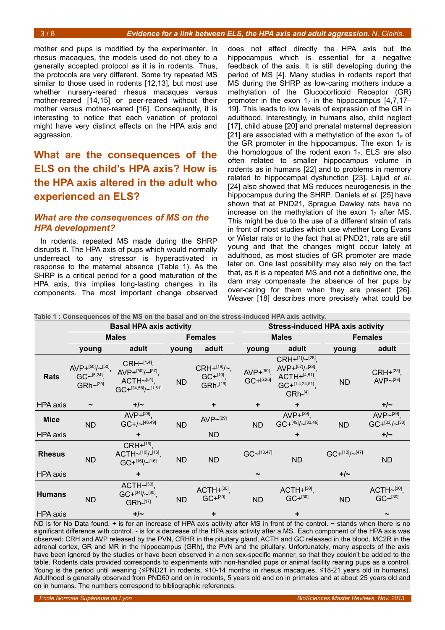mother and pups is modified by the experimenter. In rhesus macaques, the models used do not obey to a generally accepted protocol as it is in rodents. Thus, the protocols are very different. Some try repeated MS similar to those used in rodents [12,13], but most use whether nursery-reared rhesus macaques versus mother-reared [14,15] or peer-reared without their mother versus mother-reared [16]. Consequently, it is interesting to notice that each variation of protocol might have very distinct effects on the HPA axis and aggression.

## **What are the consequences of the ELS on the child's HPA axis? How is the HPA axis altered in the adult who experienced an ELS?**

#### *What are the consequences of MS on the HPA development?*

In rodents, repeated MS made during the SHRP disrupts it. The HPA axis of pups which would normally underreact to any stressor is hyperactivated in response to the maternal absence (Table [1\)](#page-2-0). As the SHRP is a critical period for a good maturation of the HPA axis, this implies long-lasting changes in its components. The most important change observed

does not affect directly the HPA axis but the hippocampus which is essential for a negative feedback of the axis. It is still developing during the period of MS [4]. Many studies in rodents report that MS during the SHRP as low-caring mothers induce a methylation of the Glucocorticoid Receptor (GR) promoter in the exon  $1<sub>7</sub>$  in the hippocampus [4,7,17– 19]. This leads to low levels of expression of the GR in adulthood. Interestingly, in humans also, child neglect [17], child abuse [20] and prenatal maternal depression [21] are associated with a methylation of the exon  $1_F$  of the GR promoter in the hippocampus. The exon  $1_F$  is the homologous of the rodent exon  $1<sub>7</sub>$ . ELS are also often related to smaller hippocampus volume in rodents as in humans [22] and to problems in memory related to hippocampal dysfunction [23]. Lajud *et al.* [24] also showed that MS reduces neurogenesis in the hippocampus during the SHRP. Daniels *et al.* [25] have shown that at PND21, Sprague Dawley rats have no increase on the methylation of the exon  $1<sub>7</sub>$  after MS. This might be due to the use of a different strain of rats in front of most studies which use whether Long Evans or Wistar rats or to the fact that at PND21, rats are still young and that the changes might occur lately at adulthood, as most studies of GR promoter are made later on. One last possibility may also rely on the fact that, as it is a repeated MS and not a definitive one, the dam may compensate the absence of her pups by over-caring for them when they are present [26]. Weaver [18] describes more precisely what could be

<span id="page-2-0"></span>

| Table 1 : Consequences of the MS on the basal and on the stress-induced HPA axis activity. |                                                             |                                                                                           |                |                                                   |                                         |                                                                                                        |                          |                                        |  |
|--------------------------------------------------------------------------------------------|-------------------------------------------------------------|-------------------------------------------------------------------------------------------|----------------|---------------------------------------------------|-----------------------------------------|--------------------------------------------------------------------------------------------------------|--------------------------|----------------------------------------|--|
|                                                                                            | <b>Basal HPA axis activity</b>                              |                                                                                           |                |                                                   | <b>Stress-induced HPA axis activity</b> |                                                                                                        |                          |                                        |  |
|                                                                                            | <b>Males</b>                                                |                                                                                           | <b>Females</b> |                                                   | <b>Males</b>                            |                                                                                                        | <b>Females</b>           |                                        |  |
|                                                                                            | young                                                       | adult                                                                                     | young          | adult                                             | young                                   | adult                                                                                                  | young                    | adult                                  |  |
| <b>Rats</b>                                                                                | AVP+[50]/ $\sim$ [50],<br>$GC~^{-[5,24]},$<br>$GRh~^{[25]}$ | $CRH~1,4]$ ,<br>$AVP+^{[50]}/\sim^{[57]},$<br>$ACTH~511}$<br>$GC + [24,58] / \sim [1,51]$ | <b>ND</b>      | $CRH+^{[19]}/\sim$ ,<br>$GC+^{[19]},$<br>GRh-[19] | $AVP+[50]$<br>$GC + [5,25]$             | $CRH+^{[1]}/\sim^{[28]}$<br>AVP+[57]/_[28]<br>ACTH+[4,51]<br>$GC+^{[1,4,24,51]}$<br>GRh <sup>[4]</sup> | <b>ND</b>                | $CRH+^{[28]}$<br>AVP $\sim$ [28]       |  |
| <b>HPA</b> axis                                                                            |                                                             | $+/-$                                                                                     |                | ٠                                                 | ۰                                       | ٠                                                                                                      |                          | $+/-$                                  |  |
| <b>Mice</b>                                                                                | <b>ND</b>                                                   | AVP+[29]<br>$GC + / \sim [46, 49]$                                                        | <b>ND</b>      | AVP~[29]                                          | ND                                      | AVP+ $^{[29]}$ ,<br>$GC + {}^{[49]}/ \\ \sim {}^{[33,46]}$                                             | <b>ND</b>                | $AVP~^{[29]}$<br>$GC + [33]/\sim [33]$ |  |
| HPA axis                                                                                   |                                                             |                                                                                           |                | ND                                                |                                         | ٠                                                                                                      |                          | $+/-$                                  |  |
| <b>Rhesus</b>                                                                              | <b>ND</b>                                                   | CRH+[16]<br>ACTH~[16]/-[16],<br>$GC +$ <sup>[16]</sup> /~ <sup>[16]</sup>                 | <b>ND</b>      | <b>ND</b>                                         | GC~13,47]                               | <b>ND</b>                                                                                              | $GC +$ [13]/ $\sim$ [47] | <b>ND</b>                              |  |
| HPA axis                                                                                   |                                                             | ÷                                                                                         |                |                                                   | $\tilde{}$                              |                                                                                                        | $+/-$                    |                                        |  |
| <b>Humans</b>                                                                              | <b>ND</b>                                                   | $ACTH~130}$<br>$GC+^{[34]}/[30]$ ,<br>GRh-[17]                                            | <b>ND</b>      | $ACTH+[30]$ ,<br>$GC + [30]$                      | <b>ND</b>                               | $ACTH+[30]$ ,<br>$GC+^{[30]}$                                                                          | <b>ND</b>                | ACTH $\sim$ [30],<br>GC~130]           |  |
| HPA axis                                                                                   |                                                             | $+/-$                                                                                     |                | ٠                                                 |                                         | ٠                                                                                                      |                          |                                        |  |

ND is for No Data found. + is for an increase of HPA axis activity after MS in front of the control. ~ stands when there is no significant difference with control. - is for a decrease of the HPA axis activity after a MS. Each component of the HPA axis was observed: CRH and AVP released by the PVN, CRHR in the pituitary gland, ACTH and GC released in the blood, MC2R in the adrenal cortex, GR and MR in the hippocampus (GRh), the PVN and the pituitary. Unfortunately, many aspects of the axis have been ignored by the studies or have been observed in a non sex-specific manner, so that they couldn't be added to the table. Rodents data provided corresponds to experiments with non-handled pups or animal facility rearing pups as a control. Young is the period until weaning (≤PND21 in rodents, ≤10-14 months in rhesus macaques, ≤18-21 years old in humans). Adulthood is generally observed from PND60 and on in rodents, 5 years old and on in primates and at about 25 years old and on in humans. The numbers correspond to bibliographic references.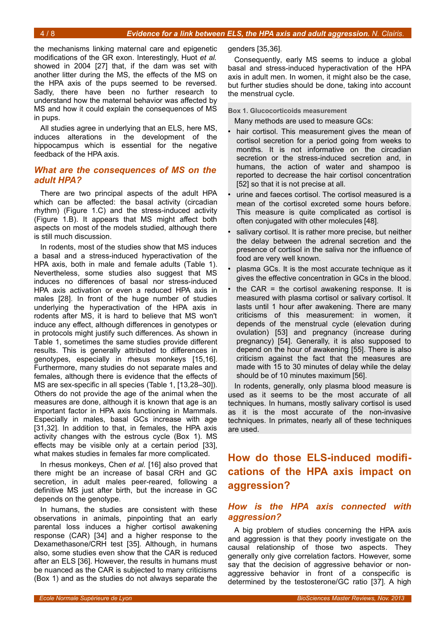the mechanisms linking maternal care and epigenetic modifications of the GR exon. Interestingly, Huot *et al.* showed in 2004 [27] that, if the dam was set with another litter during the MS, the effects of the MS on the HPA axis of the pups seemed to be reversed. Sadly, there have been no further research to understand how the maternal behavior was affected by MS and how it could explain the consequences of MS in pups.

All studies agree in underlying that an ELS, here MS, induces alterations in the development of the hippocampus which is essential for the negative feedback of the HPA axis.

## *What are the consequences of MS on the adult HPA?*

There are two principal aspects of the adult HPA which can be affected: the basal activity (circadian rhythm) (Figure [1.](#page-1-0)C) and the stress-induced activity (Figure [1.](#page-1-0)B). It appears that MS might affect both aspects on most of the models studied, although there is still much discussion.

In rodents, most of the studies show that MS induces a basal and a stress-induced hyperactivation of the HPA axis, both in male and female adults (Table [1\)](#page-2-0). Nevertheless, some studies also suggest that MS induces no differences of basal nor stress-induced HPA axis activation or even a reduced HPA axis in males [28]. In front of the huge number of studies underlying the hyperactivation of the HPA axis in rodents after MS, it is hard to believe that MS won't induce any effect, although differences in genotypes or in protocols might justify such differences. As shown in Table [1,](#page-2-0) sometimes the same studies provide different results. This is generally attributed to differences in genotypes, especially in rhesus monkeys [15,16]. Furthermore, many studies do not separate males and females, although there is evidence that the effects of MS are sex-specific in all species (Table [1,](#page-2-0) [13,28–30]). Others do not provide the age of the animal when the measures are done, although it is known that age is an important factor in HPA axis functioning in Mammals. Especially in males, basal GCs increase with age [31,32]. In addition to that, in females, the HPA axis activity changes with the estrous cycle (Box [1\)](#page-3-0). MS effects may be visible only at a certain period [33], what makes studies in females far more complicated.

In rhesus monkeys, Chen *et al.* [16] also proved that there might be an increase of basal CRH and GC secretion, in adult males peer-reared, following a definitive MS just after birth, but the increase in GC depends on the genotype.

In humans, the studies are consistent with these observations in animals, pinpointing that an early parental loss induces a higher cortisol awakening response (CAR) [34] and a higher response to the Dexamethasone/CRH test [35]. Although, in humans also, some studies even show that the CAR is reduced after an ELS [36]. However, the results in humans must be nuanced as the CAR is subjected to many criticisms (Box [1\)](#page-3-0) and as the studies do not always separate the genders [35,36].

Consequently, early MS seems to induce a global basal and stress-induced hyperactivation of the HPA axis in adult men. In women, it might also be the case, but further studies should be done, taking into account the menstrual cycle.

**Box 1. Glucocorticoids measurement**

<span id="page-3-0"></span>Many methods are used to measure GCs:

- hair cortisol. This measurement gives the mean of cortisol secretion for a period going from weeks to months. It is not informative on the circadian secretion or the stress-induced secretion and, in humans, the action of water and shampoo is reported to decrease the hair cortisol concentration [52] so that it is not precise at all.
- urine and faeces cortisol. The cortisol measured is a mean of the cortisol excreted some hours before. This measure is quite complicated as cortisol is often conjugated with other molecules [48].
- salivary cortisol. It is rather more precise, but neither the delay between the adrenal secretion and the presence of cortisol in the saliva nor the influence of food are very well known.
- plasma GCs. It is the most accurate technique as it gives the effective concentration in GCs in the blood.
- the CAR = the cortisol awakening response. It is measured with plasma cortisol or salivary cortisol. It lasts until 1 hour after awakening. There are many criticisms of this measurement: in women, it depends of the menstrual cycle (elevation during ovulation) [53] and pregnancy (increase during pregnancy) [54]. Generally, it is also supposed to depend on the hour of awakening [55]. There is also criticism against the fact that the measures are made with 15 to 30 minutes of delay while the delay should be of 10 minutes maximum [56].

In rodents, generally, only plasma blood measure is used as it seems to be the most accurate of all techniques. In humans, mostly salivary cortisol is used as it is the most accurate of the non-invasive techniques. In primates, nearly all of these techniques are used.

## **How do those ELS-induced modifications of the HPA axis impact on aggression?**

## *How is the HPA axis connected with aggression?*

A big problem of studies concerning the HPA axis and aggression is that they poorly investigate on the causal relationship of those two aspects. They generally only give correlation factors. However, some say that the decision of aggressive behavior or nonaggressive behavior in front of a conspecific is determined by the testosterone/GC ratio [37]. A high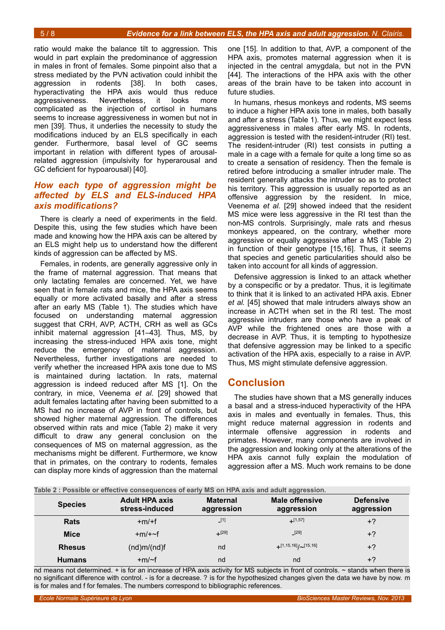ratio would make the balance tilt to aggression. This would in part explain the predominance of aggression in males in front of females. Some pinpoint also that a stress mediated by the PVN activation could inhibit the aggression in rodents [38]. In both cases, hyperactivating the HPA axis would thus reduce aggressiveness. Nevertheless, it looks more complicated as the injection of cortisol in humans seems to increase aggressiveness in women but not in men [39]. Thus, it underlies the necessity to study the modifications induced by an ELS specifically in each gender. Furthermore, basal level of GC seems important in relation with different types of arousalrelated aggression (impulsivity for hyperarousal and GC deficient for hypoarousal) [40].

## *How each type of aggression might be affected by ELS and ELS-induced HPA axis modifications?*

There is clearly a need of experiments in the field. Despite this, using the few studies which have been made and knowing how the HPA axis can be altered by an ELS might help us to understand how the different kinds of aggression can be affected by MS.

Females, in rodents, are generally aggressive only in the frame of maternal aggression. That means that only lactating females are concerned. Yet, we have seen that in female rats and mice, the HPA axis seems equally or more activated basally and after a stress after an early MS (Table [1\)](#page-2-0). The studies which have focused on understanding maternal aggression suggest that CRH, AVP, ACTH, CRH as well as GCs inhibit maternal aggression [41–43]. Thus, MS, by increasing the stress-induced HPA axis tone, might reduce the emergency of maternal aggression. Nevertheless, further investigations are needed to verify whether the increased HPA axis tone due to MS is maintained during lactation. In rats, maternal aggression is indeed reduced after MS [1]. On the contrary, in mice, Veenema *et al.* [29] showed that adult females lactating after having been submitted to a MS had no increase of AVP in front of controls, but showed higher maternal aggression. The differences observed within rats and mice (Table [2\)](#page-4-0) make it very difficult to draw any general conclusion on the consequences of MS on maternal aggression, as the mechanisms might be different. Furthermore, we know that in primates, on the contrary to rodents, females can display more kinds of aggression than the maternal

one [15]. In addition to that, AVP, a component of the HPA axis, promotes maternal aggression when it is injected in the central amygdala, but not in the PVN [44]. The interactions of the HPA axis with the other areas of the brain have to be taken into account in future studies.

In humans, rhesus monkeys and rodents, MS seems to induce a higher HPA axis tone in males, both basally and after a stress (Table [1\)](#page-2-0). Thus, we might expect less aggressiveness in males after early MS. In rodents, aggression is tested with the resident-intruder (RI) test. The resident-intruder (RI) test consists in putting a male in a cage with a female for quite a long time so as to create a sensation of residency. Then the female is retired before introducing a smaller intruder male. The resident generally attacks the intruder so as to protect his territory. This aggression is usually reported as an offensive aggression by the resident. In mice, Veenema *et al.* [29] showed indeed that the resident MS mice were less aggressive in the RI test than the non-MS controls. Surprisingly, male rats and rhesus monkeys appeared, on the contrary, whether more aggressive or equally aggressive after a MS (Table [2\)](#page-4-0) in function of their genotype [15,16]. Thus, it seems that species and genetic particularities should also be taken into account for all kinds of aggression.

Defensive aggression is linked to an attack whether by a conspecific or by a predator. Thus, it is legitimate to think that it is linked to an activated HPA axis. Ebner *et al.* [45] showed that male intruders always show an increase in ACTH when set in the RI test. The most aggressive intruders are those who have a peak of AVP while the frightened ones are those with a decrease in AVP. Thus, it is tempting to hypothesize that defensive aggression may be linked to a specific activation of the HPA axis, especially to a raise in AVP. Thus, MS might stimulate defensive aggression.

## **Conclusion**

The studies have shown that a MS generally induces a basal and a stress-induced hyperactivity of the HPA axis in males and eventually in females. Thus, this might reduce maternal aggression in rodents and intermale offensive aggression in rodents and primates. However, many components are involved in the aggression and looking only at the alterations of the HPA axis cannot fully explain the modulation of aggression after a MS. Much work remains to be done

<span id="page-4-0"></span>

| Table 2 : Possible or effective consequences of early MS on HPA axis and adult aggression. |                                         |                               |                                     |                                |  |  |  |  |  |
|--------------------------------------------------------------------------------------------|-----------------------------------------|-------------------------------|-------------------------------------|--------------------------------|--|--|--|--|--|
| <b>Species</b>                                                                             | <b>Adult HPA axis</b><br>stress-induced | <b>Maternal</b><br>aggression | <b>Male offensive</b><br>aggression | <b>Defensive</b><br>aggression |  |  |  |  |  |
| <b>Rats</b>                                                                                | $+m/+f$                                 | $\lfloor$ [1]                 | $+$ [1,57]                          | $+2$                           |  |  |  |  |  |
| <b>Mice</b>                                                                                | $+m/+~$                                 | $+$ [29]                      | $[29]$                              | $+2$                           |  |  |  |  |  |
| <b>Rhesus</b>                                                                              | (nd)m/(nd)f                             | nd                            | $+$ [1,15,16]/ $\sim$ [15,16]       | $+2$                           |  |  |  |  |  |
| <b>Humans</b>                                                                              | $+m$ /~f                                | nd                            | nd                                  | $+2$                           |  |  |  |  |  |

nd means not determined. + is for an increase of HPA axis activity for MS subjects in front of controls. ~ stands when there is no significant difference with control. - is for a decrease. ? is for the hypothesized changes given the data we have by now. m is for males and f for females. The numbers correspond to bibliographic references.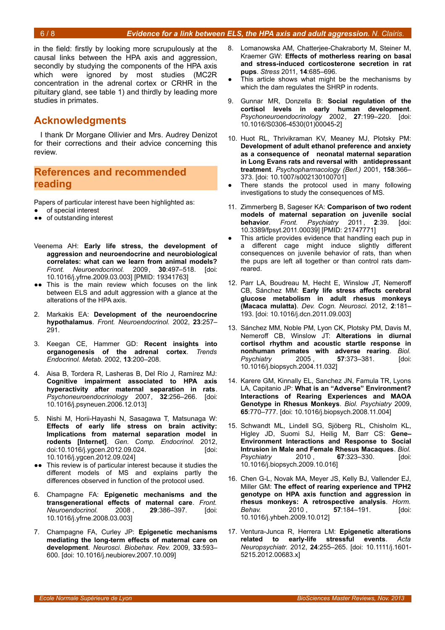in the field: firstly by looking more scrupulously at the causal links between the HPA axis and aggression, secondly by studying the components of the HPA axis which were ignored by most studies (MC2R concentration in the adrenal cortex or CRHR in the pituitary gland, see table [1\)](#page-2-0) and thirdly by leading more studies in primates.

## **Acknowledgments**

I thank Dr Morgane Ollivier and Mrs. Audrey Denizot for their corrections and their advice concerning this review.

## **References and recommended reading**

Papers of particular interest have been highlighted as:

- of special interest
- ●● of outstanding interest
- Veenema AH: **Early life stress, the development of aggression and neuroendocrine and neurobiological correlates: what can we learn from animal models?** *Front. Neuroendocrinol.* 2009, **30**:497–518. [doi: 10.1016/j.yfrne.2009.03.003] [PMID: 19341763]
- ●● This is the main review which focuses on the link between ELS and adult aggression with a glance at the alterations of the HPA axis.
- 2. Markakis EA: **Development of the neuroendocrine hypothalamus**. *Front. Neuroendocrinol.* 2002, **23**:257– 291.
- 3. Keegan CE, Hammer GD: **Recent insights into organogenesis of the adrenal cortex**. *Trends Endocrinol. Metab.* 2002, **13**:200–208.
- 4. Aisa B, Tordera R, Lasheras B, Del Río J, Ramírez MJ: **Cognitive impairment associated to HPA axis hyperactivity after maternal separation in rats**. *Psychoneuroendocrinology* 2007, **32**:256–266. [doi: 10.1016/j.psyneuen.2006.12.013]
- 5. Nishi M, Horii-Hayashi N, Sasagawa T, Matsunaga W: **Effects of early life stress on brain activity: Implications from maternal separation model in rodents [Internet]**. *Gen. Comp. Endocrinol.* 2012, doi:10.1016/j.ygcen.2012.09.024. [doi: 10.1016/j.ygcen.2012.09.024]
- ●● This review is of particular interest because it studies the different models of MS and explains partly the differences observed in function of the protocol used.
- 6. Champagne FA: **Epigenetic mechanisms and the transgenerational effects of maternal care**. *Front. Neuroendocrinol.* 2008 , **29**:386–397. [doi: 10.1016/j.yfrne.2008.03.003]
- 7. Champagne FA, Curley JP: **Epigenetic mechanisms mediating the long-term effects of maternal care on development**. *Neurosci. Biobehav. Rev.* 2009, **33**:593– 600. [doi: 10.1016/j.neubiorev.2007.10.009]
- 8. Lomanowska AM, Chatterjee-Chakraborty M, Steiner M, Kraemer GW: **Effects of motherless rearing on basal and stress-induced corticosterone secretion in rat pups**. *Stress* 2011, **14**:685–696.
- This article shows what might be the mechanisms by which the dam regulates the SHRP in rodents.
- 9. Gunnar MR, Donzella B: **Social regulation of the cortisol levels in early human development**. *Psychoneuroendocrinology* 2002, **27**:199–220. [doi: 10.1016/S0306-4530(01)00045-2]
- 10. Huot RL, Thrivikraman KV, Meaney MJ, Plotsky PM: **Development of adult ethanol preference and anxiety as a consequence of neonatal maternal separation in Long Evans rats and reversal with antidepressant treatment**. *Psychopharmacology (Berl.)* 2001, **158**:366– 373. [doi: 10.1007/s002130100701]
- There stands the protocol used in many following investigations to study the consequences of MS.
- 11. Zimmerberg B, Sageser KA: **Comparison of two rodent models of maternal separation on juvenile social behavior**. *Front. Psychiatry* 2011 , **2**:39. [doi: 10.3389/fpsyt.2011.00039] [PMID: 21747771]
- This article provides evidence that handling each pup in a different cage might induce slightly different consequences on juvenile behavior of rats, than when the pups are left all together or than control rats damreared.
- 12. Parr LA, Boudreau M, Hecht E, Winslow JT, Nemeroff CB, Sánchez MM: **Early life stress affects cerebral glucose metabolism in adult rhesus monkeys (Macaca mulatta)**. *Dev. Cogn. Neurosci.* 2012, **2**:181– 193. [doi: 10.1016/j.dcn.2011.09.003]
- 13. Sánchez MM, Noble PM, Lyon CK, Plotsky PM, Davis M, Nemeroff CB, Winslow JT: **Alterations in diurnal cortisol rhythm and acoustic startle response in nonhuman primates with adverse rearing**. *Biol. Psychiatry* 2005 , **57**:373–381. [doi: 10.1016/j.biopsych.2004.11.032]
- 14. Karere GM, Kinnally EL, Sanchez JN, Famula TR, Lyons LA, Capitanio JP: **What is an "Adverse" Environment? Interactions of Rearing Experiences and MAOA Genotype in Rhesus Monkeys**. *Biol. Psychiatry* 2009, **65**:770–777. [doi: 10.1016/j.biopsych.2008.11.004]
- 15. Schwandt ML, Lindell SG, Sjöberg RL, Chisholm KL, Higley JD, Suomi SJ, Heilig M, Barr CS: **Gene– Environment Interactions and Response to Social Intrusion in Male and Female Rhesus Macaques**. *Biol. Psychiatry* 2010 , **67**:323–330. [doi: 10.1016/j.biopsych.2009.10.016]
- 16. Chen G-L, Novak MA, Meyer JS, Kelly BJ, Vallender EJ, Miller GM: **The effect of rearing experience and TPH2 genotype on HPA axis function and aggression in rhesus monkeys: A retrospective analysis**. *Horm. Behav.* 2010 , **57**:184–191. [doi: 10.1016/j.yhbeh.2009.10.012]
- 17. Ventura-Junca R, Herrera LM: **Epigenetic alterations related to early-life stressful events**. *Acta Neuropsychiatr.* 2012, **24**:255–265. [doi: 10.1111/j.1601- 5215.2012.00683.x]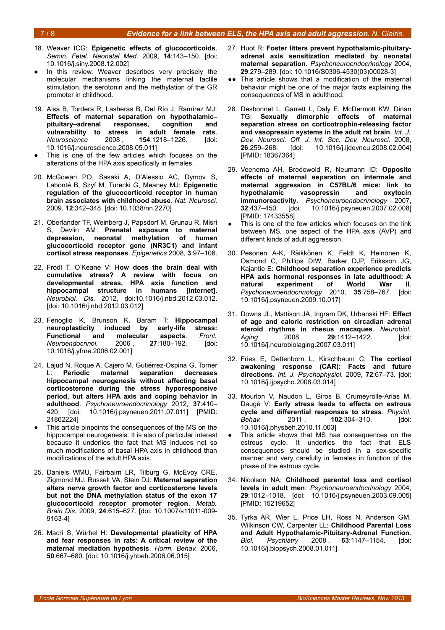#### 7 / 8 *Evidence for a link between ELS, the HPA axis and adult aggression. N. Clairis.*

- 18. Weaver ICG: **Epigenetic effects of glucocorticoids**. *Semin. Fetal. Neonatal Med.* 2009, **14**:143–150. [doi: 10.1016/j.siny.2008.12.002]
- In this review, Weaver describes very precisely the molecular mechanisms linking the maternal tactile stimulation, the serotonin and the methylation of the GR promoter in childhood.
- 19. Aisa B, Tordera R, Lasheras B, Del Río J, Ramírez MJ: **Effects of maternal separation on hypothalamic– pituitary–adrenal responses, cognition and vulnerability to stress in adult female rats**. *Neuroscience* 2008 , **154**:1218–1226. [doi: 10.1016/j.neuroscience.2008.05.011]
- This is one of the few articles which focuses on the alterations of the HPA axis specifically in females.
- 20. McGowan PO, Sasaki A, D'Alessio AC, Dymov S, Labonté B, Szyf M, Turecki G, Meaney MJ: **Epigenetic regulation of the glucocorticoid receptor in human brain associates with childhood abuse**. *Nat. Neurosci.* 2009, **12**:342–348. [doi: 10.1038/nn.2270]
- 21. Oberlander TF, Weinberg J, Papsdorf M, Grunau R, Misri S, Devlin AM: **Prenatal exposure to maternal depression, neonatal methylation of human glucocorticoid receptor gene (NR3C1) and infant cortisol stress responses**. *Epigenetics* 2008, **3**:97–106.
- 22. Frodl T, O'Keane V: **How does the brain deal with cumulative stress? A review with focus on developmental stress, HPA axis function and hippocampal structure in humans [Internet]**. *Neurobiol. Dis.* 2012, doi:10.1016/j.nbd.2012.03.012. [doi: 10.1016/j.nbd.2012.03.012]
- 23. Fenoglio K, Brunson K, Baram T: **Hippocampal neuroplasticity induced by early-life stress: Functional and molecular aspects**. *Front. Neuroendocrinol.* 2006 , **27**:180–192. [doi: 10.1016/j.yfrne.2006.02.001]
- 24. Lajud N, Roque A, Cajero M, Gutiérrez-Ospina G, Torner L: **Periodic maternal separation decreases hippocampal neurogenesis without affecting basal corticosterone during the stress hyporesponsive period, but alters HPA axis and coping behavior in adulthood**. *Psychoneuroendocrinology* 2012, **37**:410– 420. [doi: 10.1016/j.psyneuen.2011.07.011] [PMID: 21862224]
- This article pinpoints the consequences of the MS on the hippocampal neurogenesis. It is also of particular interest because it underlies the fact that MS induces not so much modifications of basal HPA axis in childhood than modifications of the adult HPA axis.
- 25. Daniels WMU, Fairbairn LR, Tilburg G, McEvoy CRE, Zigmond MJ, Russell VA, Stein DJ: **Maternal separation alters nerve growth factor and corticosterone levels but not the DNA methylation status of the exon 17 glucocorticoid receptor promoter region**. *Metab. Brain Dis.* 2009, **24**:615–627. [doi: 10.1007/s11011-009- 9163-4]
- 26. Macrì S, Würbel H: **Developmental plasticity of HPA and fear responses in rats: A critical review of the maternal mediation hypothesis**. *Horm. Behav.* 2006, **50**:667–680. [doi: 10.1016/j.yhbeh.2006.06.015]
- 27. Huot R: **Foster litters prevent hypothalamic-pituitaryadrenal axis sensitization mediated by neonatal maternal separation**. *Psychoneuroendocrinology* 2004, **29**:279–289. [doi: 10.1016/S0306-4530(03)00028-3]
- This article shows that a modification of the maternal behavior might be one of the major facts explaining the consequences of MS in adulthood.
- 28. Desbonnet L, Garrett L, Daly E, McDermott KW, Dinan TG: **Sexually dimorphic effects of maternal separation stress on corticotrophin-releasing factor and vasopressin systems in the adult rat brain**. *Int. J. Dev. Neurosci. Off. J. Int. Soc. Dev. Neurosci.* 2008, **26**:259–268. [doi: 10.1016/j.ijdevneu.2008.02.004] [PMID: 18367364]
- 29. Veenema AH, Bredewold R, Neumann ID: **Opposite effects of maternal separation on intermale and maternal aggression in C57BL/6 mice: link to** hypothalamic vasopressin and **immunoreactivity**. *Psychoneuroendocrinology* 2007, **32**:437–450. [doi: 10.1016/j.psyneuen.2007.02.008] [PMID: 17433558]
- This is one of the few articles which focuses on the link between MS, one aspect of the HPA axis (AVP) and different kinds of adult aggression.
- 30. Pesonen A-K, Räikkönen K, Feldt K, Heinonen K, Osmond C, Phillips DIW, Barker DJP, Eriksson JG, Kajantie E: **Childhood separation experience predicts HPA axis hormonal responses in late adulthood: A natural experiment of World War II**. *Psychoneuroendocrinology* 2010, **35**:758–767. [doi: 10.1016/j.psyneuen.2009.10.017]
- 31. Downs JL, Mattison JA, Ingram DK, Urbanski HF: **Effect of age and caloric restriction on circadian adrenal steroid rhythms in rhesus macaques**. *Neurobiol. Aging* 2008 , **29**:1412–1422. [doi: 10.1016/j.neurobiolaging.2007.03.011]
- 32. Fries E, Dettenborn L, Kirschbaum C: **The cortisol awakening response (CAR): Facts and future directions**. *Int. J. Psychophysiol.* 2009, **72**:67–73. [doi: 10.1016/j.ijpsycho.2008.03.014]
- 33. Mourlon V, Naudon L, Giros B, Crumeyrolle-Arias M, Daugé V: **Early stress leads to effects on estrous cycle and differential responses to stress**. *Physiol. Behav.* 2011 , **102**:304–310. [doi: 10.1016/j.physbeh.2010.11.003]
- This article shows that MS has consequences on the estrous cycle. It underlies the fact that ELS consequences should be studied in a sex-specific manner and very carefully in females in function of the phase of the estrous cycle.
- 34. Nicolson NA: **Childhood parental loss and cortisol levels in adult men**. *Psychoneuroendocrinology* 2004, **29**:1012–1018. [doi: 10.1016/j.psyneuen.2003.09.005] [PMID: 15219652]
- 35. Tyrka AR, Wier L, Price LH, Ross N, Anderson GM, Wilkinson CW, Carpenter LL: **Childhood Parental Loss and Adult Hypothalamic-Pituitary-Adrenal Function**. *Biol. Psychiatry* 2008 , **63**:1147–1154. [doi: 10.1016/j.biopsych.2008.01.011]